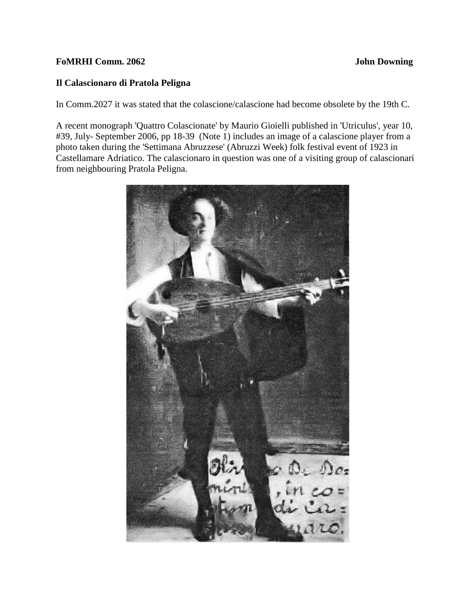## **FoMRHI Comm. 2062 John Downing**

## **Il Calascionaro di Pratola Peligna**

In Comm.2027 it was stated that the colascione/calascione had become obsolete by the 19th C.

A recent monograph 'Quattro Colascionate' by Maurio Gioielli published in 'Utriculus', year 10, #39, July- September 2006, pp 18-39 (Note 1) includes an image of a calascione player from a photo taken during the 'Settimana Abruzzese' (Abruzzi Week) folk festival event of 1923 in Castellamare Adriatico. The calascionaro in question was one of a visiting group of calascionari from neighbouring Pratola Peligna.